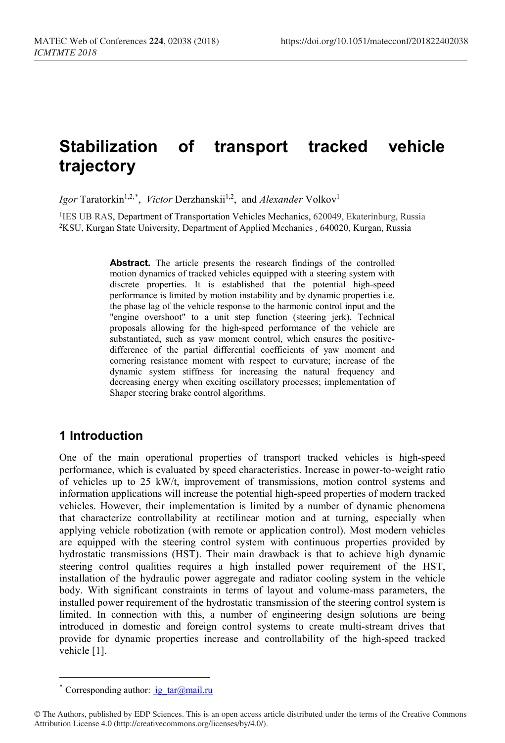# **Stabilization of transport tracked vehicle trajectory**

Igor Taratorkin<sup>1,2,[\\*](#page-0-0)</sup>, *Victor* Derzhanskii<sup>1,2</sup>, and *Alexander* Volkov<sup>1</sup>

<sup>1</sup>IES UB RAS, [Department of Transportation Vehicles Mechanics,](http://eng.imach.uran.ru/lab/mtm/about) 620049, Ekaterinburg, Russia 2KSU, Kurgan State University, Department of Applied Mechanics , 640020, Kurgan, Russia

> **Abstract.** The article presents the research findings of the controlled motion dynamics of tracked vehicles equipped with a steering system with discrete properties. It is established that the potential high-speed performance is limited by motion instability and by dynamic properties i.e. the phase lag of the vehicle response to the harmonic control input and the "engine overshoot" to a unit step function (steering jerk). Technical proposals allowing for the high-speed performance of the vehicle are substantiated, such as yaw moment control, which ensures the positivedifference of the partial differential coefficients of yaw moment and cornering resistance moment with respect to curvature; increase of the dynamic system stiffness for increasing the natural frequency and decreasing energy when exciting oscillatory processes; implementation of Shaper steering brake control algorithms.

#### **1 Introduction**

One of the main operational properties of transport tracked vehicles is high-speed performance, which is evaluated by speed characteristics. Increase in power-to-weight ratio of vehicles up to 25 kW/t, improvement of transmissions, motion control systems and information applications will increase the potential high-speed properties of modern tracked vehicles. However, their implementation is limited by a number of dynamic phenomena that characterize controllability at rectilinear motion and at turning, especially when applying vehicle robotization (with remote or application control). Most modern vehicles are equipped with the steering control system with continuous properties provided by hydrostatic transmissions (HST). Their main drawback is that to achieve high dynamic steering control qualities requires a high installed power requirement of the HST, installation of the hydraulic power aggregate and radiator cooling system in the vehicle body. With significant constraints in terms of layout and volume-mass parameters, the installed power requirement of the hydrostatic transmission of the steering control system is limited. In connection with this, a number of engineering design solutions are being introduced in domestic and foreign control systems to create multi-stream drives that provide for dynamic properties increase and controllability of the high-speed tracked vehicle [1].

 $\overline{a}$ 

<sup>\*</sup> Corresponding author:  $i\mathbf{g}$  tar@mail.ru

<span id="page-0-0"></span><sup>©</sup> The Authors, published by EDP Sciences. This is an open access article distributed under the terms of the Creative Commons Attribution License 4.0 (http://creativecommons.org/licenses/by/4.0/).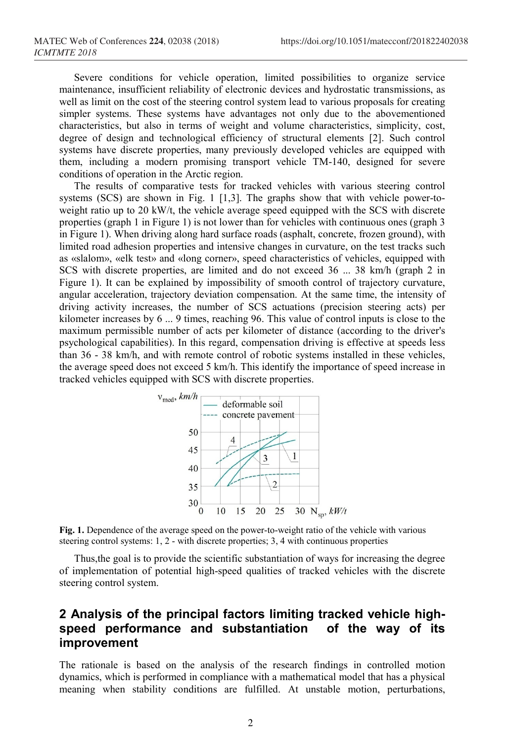Severe conditions for vehicle operation, limited possibilities to organize service maintenance, insufficient reliability of electronic devices and hydrostatic transmissions, as well as limit on the cost of the steering control system lead to various proposals for creating simpler systems. These systems have advantages not only due to the abovementioned characteristics, but also in terms of weight and volume characteristics, simplicity, cost, degree of design and technological efficiency of structural elements [2]. Such control systems have discrete properties, many previously developed vehicles are equipped with them, including a modern promising transport vehicle TM-140, designed for severe conditions of operation in the Arctic region.

The results of comparative tests for tracked vehicles with various steering control systems (SCS) are shown in Fig. 1 [1,3]. The graphs show that with vehicle power-toweight ratio up to 20 kW/t, the vehicle average speed equipped with the SCS with discrete properties (graph 1 in Figure 1) is not lower than for vehicles with continuous ones (graph 3 in Figure 1). When driving along hard surface roads (asphalt, concrete, frozen ground), with limited road adhesion properties and intensive changes in curvature, on the test tracks such as «slalom», «elk test» and «long corner», speed characteristics of vehicles, equipped with SCS with discrete properties, are limited and do not exceed 36 ... 38 km/h (graph 2 in Figure 1). It can be explained by impossibility of smooth control of trajectory curvature, angular acceleration, trajectory deviation compensation. At the same time, the intensity of driving activity increases, the number of SCS actuations (precision steering acts) per kilometer increases by 6 ... 9 times, reaching 96. This value of control inputs is close to the maximum permissible number of acts per kilometer of distance (according to the driver's psychological capabilities). In this regard, compensation driving is effective at speeds less than 36 - 38 km/h, and with remote control of robotic systems installed in these vehicles, the average speed does not exceed 5 km/h. This identify the importance of speed increase in tracked vehicles equipped with SCS with discrete properties.



**Fig. 1.** Dependence of the average speed on the power-to-weight ratio of the vehicle with various steering control systems: 1, 2 - with discrete properties; 3, 4 with continuous properties

Thus,the goal is to provide the scientific substantiation of ways for increasing the degree of implementation of potential high-speed qualities of tracked vehicles with the discrete steering control system.

### **2 Analysis of the principal factors limiting tracked vehicle highspeed performance and substantiation of the way of its improvement**

The rationale is based on the analysis of the research findings in controlled motion dynamics, which is performed in compliance with a mathematical model that has a physical meaning when stability conditions are fulfilled. At unstable motion, perturbations,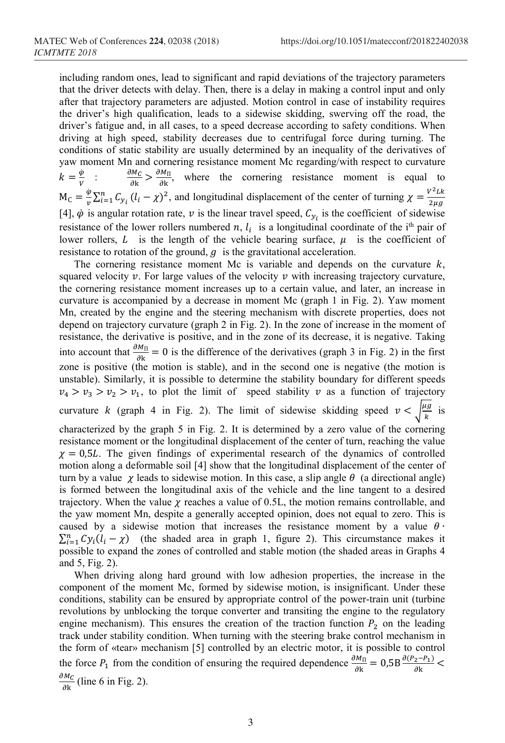including random ones, lead to significant and rapid deviations of the trajectory parameters that the driver detects with delay. Then, there is a delay in making a control input and only after that trajectory parameters are adjusted. Motion control in case of instability requires the driver's high qualification, leads to a sidewise skidding, swerving off the road, the driver's fatigue and, in all cases, to a speed decrease according to safety conditions. When driving at high speed, stability decreases due to centrifugal force during turning. The conditions of static stability are usually determined by an inequality of the derivatives of yaw moment Mn and cornering resistance moment Mc regarding/with respect to curvature  $k = \frac{\varphi}{v}$  :  $M_C = \frac{\dot{\varphi}}{v} \sum_{i=1}^n C_{y_i} (l_i - \chi)^2$ , and longitudinal displacement of the center of turning  $\chi = \frac{v^2 L k}{2 \mu g}$  $\frac{\partial M_C}{\partial k}$  >  $\frac{\partial M_{\Pi}}{\partial k}$ , where the cornering resistance moment is equal to [4],  $\dot{\varphi}$  is angular rotation rate,  $\nu$  is the linear travel speed,  $C_{y_i}$  is the coefficient of sidewise resistance of the lower rollers numbered n,  $l_i$  is a longitudinal coordinate of the i<sup>th</sup> pair of lower rollers,  $L$  is the length of the vehicle bearing surface,  $\mu$  is the coefficient of resistance to rotation of the ground,  $q$  is the gravitational acceleration.

The cornering resistance moment Mc is variable and depends on the curvature  $k$ , squared velocity  $\nu$ . For large values of the velocity  $\nu$  with increasing trajectory curvature, the cornering resistance moment increases up to a certain value, and later, an increase in curvature is accompanied by a decrease in moment Mc (graph 1 in Fig. 2). Yaw moment Mn, created by the engine and the steering mechanism with discrete properties, does not depend on trajectory curvature (graph 2 in Fig. 2). In the zone of increase in the moment of resistance, the derivative is positive, and in the zone of its decrease, it is negative. Taking into account that  $\frac{\partial M_{\Pi}}{\partial k} = 0$  is the difference of the derivatives (graph 3 in Fig. 2) in the first zone is positive (the motion is stable), and in the second one is negative (the motion is unstable). Similarly, it is possible to determine the stability boundary for different speeds  $v_4 > v_3 > v_2 > v_1$ , to plot the limit of speed stability v as a function of trajectory curvature k (graph 4 in Fig. 2). The limit of sidewise skidding speed  $v < \sqrt{\frac{\mu g}{k}}$  is characterized by the graph 5 in Fig. 2. It is determined by a zero value of the cornering resistance moment or the longitudinal displacement of the center of turn, reaching the value  $\chi = 0.5L$ . The given findings of experimental research of the dynamics of controlled motion along a deformable soil [4] show that the longitudinal displacement of the center of turn by a value  $\chi$  leads to sidewise motion. In this case, a slip angle  $\theta$  (a directional angle) is formed between the longitudinal axis of the vehicle and the line tangent to a desired trajectory. When the value  $\gamma$  reaches a value of 0.5L, the motion remains controllable, and the yaw moment Mn, despite a generally accepted opinion, does not equal to zero. This is caused by a sidewise motion that increases the resistance moment by a value  $\theta$ .  $\sum_{i=1}^{n} Cy_i(l_i - \chi)$  (the shaded area in graph 1, figure 2). This circumstance makes it possible to expand the zones of controlled and stable motion (the shaded areas in Graphs 4 and 5, Fig. 2).

When driving along hard ground with low adhesion properties, the increase in the component of the moment Mc, formed by sidewise motion, is insignificant. Under these conditions, stability can be ensured by appropriate control of the power-train unit (turbine revolutions by unblocking the torque converter and transiting the engine to the regulatory engine mechanism). This ensures the creation of the traction function  $P_2$  on the leading track under stability condition. When turning with the steering brake control mechanism in the form of «tear» mechanism [5] controlled by an electric motor, it is possible to control the force  $P_1$  from the condition of ensuring the required dependence  $\frac{\partial M_{\Pi}}{\partial k} = 0.5B \frac{\partial (P_2 - P_1)}{\partial k}$  $\frac{\partial M_C}{\partial k}$  (line 6 in Fig. 2).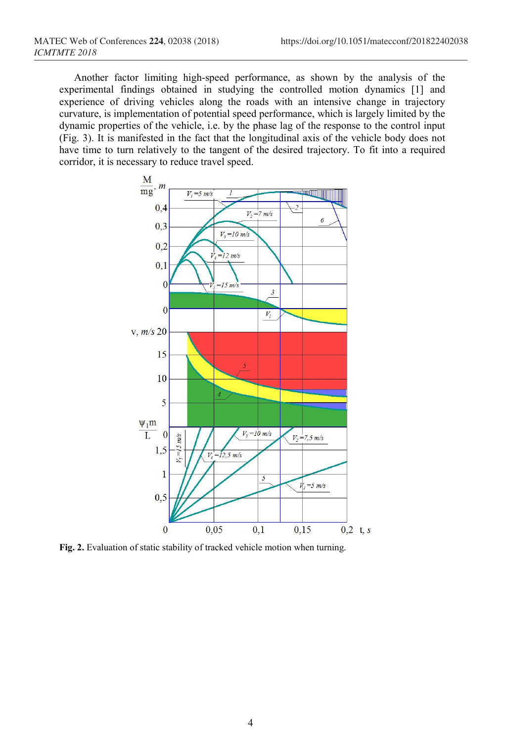Another factor limiting high-speed performance, as shown by the analysis of the experimental findings obtained in studying the controlled motion dynamics [1] and experience of driving vehicles along the roads with an intensive change in trajectory curvature, is implementation of potential speed performance, which is largely limited by the dynamic properties of the vehicle, i.e. by the phase lag of the response to the control input (Fig. 3). It is manifested in the fact that the longitudinal axis of the vehicle body does not have time to turn relatively to the tangent of the desired trajectory. To fit into a required corridor, it is necessary to reduce travel speed.



**Fig. 2.** Evaluation of static stability of tracked vehicle motion when turning.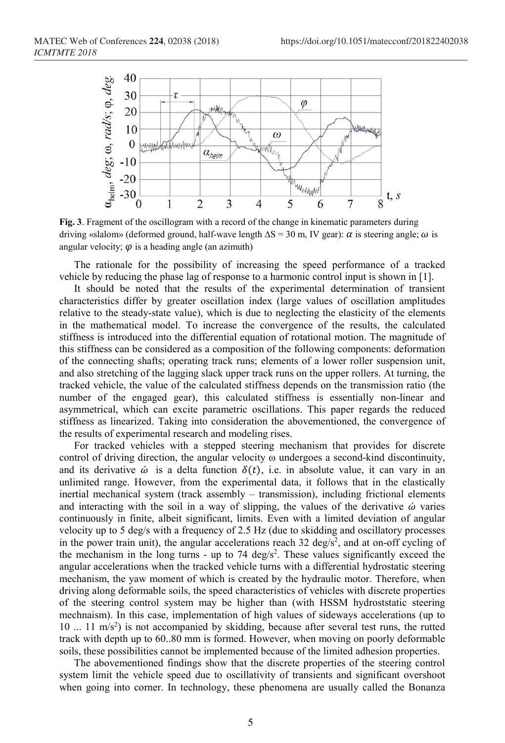

**Fig. 3**. Fragment of the oscillogram with a record of the change in kinematic parameters during driving «slalom» (deformed ground, half-wave length  $\Delta S = 30$  m, IV gear):  $\alpha$  is steering angle;  $\omega$  is angular velocity;  $\varphi$  is a heading angle (an azimuth)

The rationale for the possibility of increasing the speed performance of a tracked vehicle by reducing the phase lag of response to a harmonic control input is shown in [1].

It should be noted that the results of the experimental determination of transient characteristics differ by greater oscillation index (large values of oscillation amplitudes relative to the steady-state value), which is due to neglecting the elasticity of the elements in the mathematical model. To increase the convergence of the results, the calculated stiffness is introduced into the differential equation of rotational motion. The magnitude of this stiffness can be considered as a composition of the following components: deformation of the connecting shafts; operating track runs; elements of a lower roller suspension unit, and also stretching of the lagging slack upper track runs on the upper rollers. At turning, the tracked vehicle, the value of the calculated stiffness depends on the transmission ratio (the number of the engaged gear), this calculated stiffness is essentially non-linear and asymmetrical, which can excite parametric oscillations. This paper regards the reduced stiffness as linearized. Taking into consideration the abovementioned, the convergence of the results of experimental research and modeling rises.

For tracked vehicles with a stepped steering mechanism that provides for discrete control of driving direction, the angular velocity ω undergoes a second-kind discontinuity, and its derivative  $\dot{\omega}$  is a delta function  $\delta(t)$ , i.e. in absolute value, it can vary in an unlimited range. However, from the experimental data, it follows that in the elastically inertial mechanical system (track assembly – transmission), including frictional elements and interacting with the soil in a way of slipping, the values of the derivative  $\dot{\omega}$  varies continuously in finite, albeit significant, limits. Even with a limited deviation of angular velocity up to 5 deg/s with a frequency of 2.5 Hz (due to skidding and oscillatory processes in the power train unit), the angular accelerations reach 32 deg/ $s^2$ , and at on-off cycling of the mechanism in the long turns - up to 74  $\text{deg/s}^2$ . These values significantly exceed the angular accelerations when the tracked vehicle turns with a differential hydrostatic steering mechanism, the yaw moment of which is created by the hydraulic motor. Therefore, when driving along deformable soils, the speed characteristics of vehicles with discrete properties of the steering control system may be higher than (with HSSM hydroststatic steering mechnaism). In this case, implementation of high values of sideways accelerations (up to 10 ... 11 m/s<sup>2</sup>) is not accompanied by skidding, because after several test runs, the rutted track with depth up to 60..80 mm is formed. However, when moving on poorly deformable soils, these possibilities cannot be implemented because of the limited adhesion properties.

The abovementioned findings show that the discrete properties of the steering control system limit the vehicle speed due to oscillativity of transients and significant overshoot when going into corner. In technology, these phenomena are usually called the Bonanza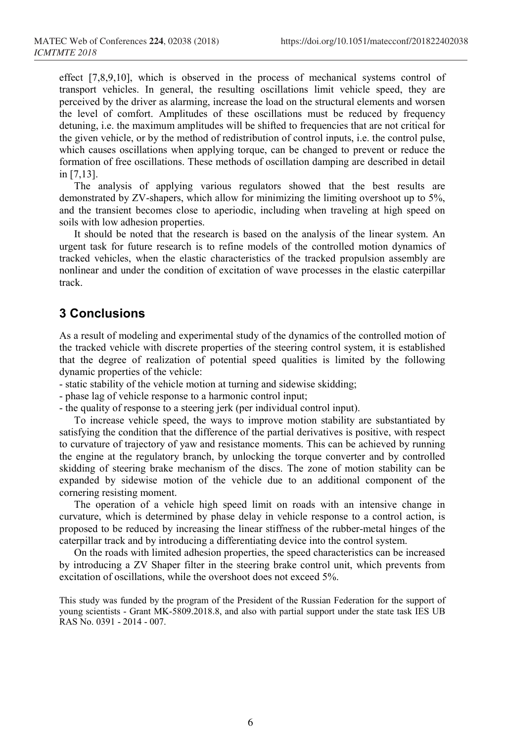effect [7,8,9,10], which is observed in the process of mechanical systems control of transport vehicles. In general, the resulting oscillations limit vehicle speed, they are perceived by the driver as alarming, increase the load on the structural elements and worsen the level of comfort. Amplitudes of these oscillations must be reduced by frequency detuning, i.e. the maximum amplitudes will be shifted to frequencies that are not critical for the given vehicle, or by the method of redistribution of control inputs, i.e. the control pulse, which causes oscillations when applying torque, can be changed to prevent or reduce the formation of free oscillations. These methods of oscillation damping are described in detail in [7,13].

The analysis of applying various regulators showed that the best results are demonstrated by ZV-shapers, which allow for minimizing the limiting overshoot up to 5%, and the transient becomes close to aperiodic, including when traveling at high speed on soils with low adhesion properties.

It should be noted that the research is based on the analysis of the linear system. An urgent task for future research is to refine models of the controlled motion dynamics of tracked vehicles, when the elastic characteristics of the tracked propulsion assembly are nonlinear and under the condition of excitation of wave processes in the elastic caterpillar track.

## **3 Conclusions**

As a result of modeling and experimental study of the dynamics of the controlled motion of the tracked vehicle with discrete properties of the steering control system, it is established that the degree of realization of potential speed qualities is limited by the following dynamic properties of the vehicle:

- static stability of the vehicle motion at turning and sidewise skidding;

- phase lag of vehicle response to a harmonic control input;
- the quality of response to a steering jerk (per individual control input).

To increase vehicle speed, the ways to improve motion stability are substantiated by satisfying the condition that the difference of the partial derivatives is positive, with respect to curvature of trajectory of yaw and resistance moments. This can be achieved by running the engine at the regulatory branch, by unlocking the torque converter and by controlled skidding of steering brake mechanism of the discs. The zone of motion stability can be expanded by sidewise motion of the vehicle due to an additional component of the cornering resisting moment.

The operation of a vehicle high speed limit on roads with an intensive change in curvature, which is determined by phase delay in vehicle response to a control action, is proposed to be reduced by increasing the linear stiffness of the rubber-metal hinges of the caterpillar track and by introducing a differentiating device into the control system.

On the roads with limited adhesion properties, the speed characteristics can be increased by introducing a ZV Shaper filter in the steering brake control unit, which prevents from excitation of oscillations, while the overshoot does not exceed 5%.

This study was funded by the program of the President of the Russian Federation for the support of young scientists - Grant MK-5809.2018.8, and also with partial support under the state task IES UB RAS No. 0391 - 2014 - 007.